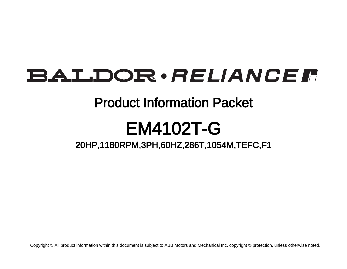## **BALDOR** · RELIANCE F

### Product Information Packet

# EM4102T-G

### 20HP,1180RPM,3PH,60HZ,286T,1054M,TEFC,F1

Copyright © All product information within this document is subject to ABB Motors and Mechanical Inc. copyright © protection, unless otherwise noted.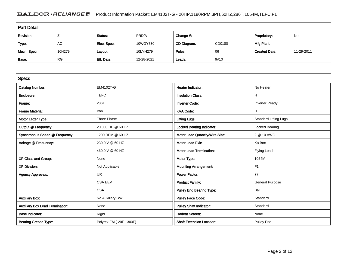#### BALDOR · RELIANCE F Product Information Packet: EM4102T-G - 20HP,1180RPM,3PH,60HZ,286T,1054M,TEFC,F1

| <b>Part Detail</b> |           |             |            |             |        |                      |            |  |
|--------------------|-----------|-------------|------------|-------------|--------|----------------------|------------|--|
| Revision:          |           | Status:     | PRD/A      | Change #:   |        | Proprietary:         | No         |  |
| Type:              | AC        | Elec. Spec: | 10WGY730   | CD Diagram: | CD0180 | Mfg Plant:           |            |  |
| Mech. Spec:        | 10H279    | Layout:     | 10LYH279   | Poles:      | 06     | <b>Created Date:</b> | 11-29-2011 |  |
| Base:              | <b>RG</b> | Eff. Date:  | 12-28-2021 | Leads:      | 9#10   |                      |            |  |

| <b>Specs</b>                           |                         |                                  |                              |
|----------------------------------------|-------------------------|----------------------------------|------------------------------|
| <b>Catalog Number:</b>                 | EM4102T-G               | <b>Heater Indicator:</b>         | No Heater                    |
| Enclosure:                             | <b>TEFC</b>             | <b>Insulation Class:</b>         | H                            |
| Frame:                                 | 286T                    | <b>Inverter Code:</b>            | <b>Inverter Ready</b>        |
| <b>Frame Material:</b>                 | Iron                    | <b>KVA Code:</b>                 | H                            |
| Motor Letter Type:                     | Three Phase             | <b>Lifting Lugs:</b>             | <b>Standard Lifting Lugs</b> |
| Output @ Frequency:                    | 20.000 HP @ 60 HZ       | Locked Bearing Indicator:        | Locked Bearing               |
| Synchronous Speed @ Frequency:         | 1200 RPM @ 60 HZ        | Motor Lead Quantity/Wire Size:   | 9 @ 10 AWG                   |
| Voltage @ Frequency:                   | 230.0 V @ 60 HZ         | <b>Motor Lead Exit:</b>          | Ko Box                       |
|                                        | 460.0 V @ 60 HZ         | <b>Motor Lead Termination:</b>   | Flying Leads                 |
| XP Class and Group:                    | None                    | Motor Type:                      | 1054M                        |
| <b>XP Division:</b>                    | Not Applicable          | <b>Mounting Arrangement:</b>     | F <sub>1</sub>               |
| <b>Agency Approvals:</b>               | <b>UR</b>               | <b>Power Factor:</b>             | 77                           |
|                                        | <b>CSA EEV</b>          | <b>Product Family:</b>           | <b>General Purpose</b>       |
|                                        | <b>CSA</b>              | <b>Pulley End Bearing Type:</b>  | Ball                         |
| <b>Auxillary Box:</b>                  | No Auxillary Box        | <b>Pulley Face Code:</b>         | Standard                     |
| <b>Auxillary Box Lead Termination:</b> | None                    | <b>Pulley Shaft Indicator:</b>   | Standard                     |
| <b>Base Indicator:</b>                 | Rigid                   | Rodent Screen:                   | None                         |
| <b>Bearing Grease Type:</b>            | Polyrex EM (-20F +300F) | <b>Shaft Extension Location:</b> | Pulley End                   |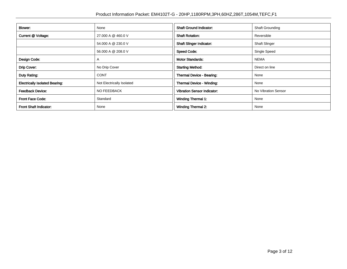| Blower:                               | None                      | <b>Shaft Ground Indicator:</b>     | <b>Shaft Grounding</b> |
|---------------------------------------|---------------------------|------------------------------------|------------------------|
| Current @ Voltage:                    | 27.000 A @ 460.0 V        | <b>Shaft Rotation:</b>             | Reversible             |
|                                       | 54.000 A @ 230.0 V        | <b>Shaft Slinger Indicator:</b>    | <b>Shaft Slinger</b>   |
|                                       | 56.000 A @ 208.0 V        | <b>Speed Code:</b>                 | Single Speed           |
| Design Code:                          | A                         | <b>Motor Standards:</b>            | <b>NEMA</b>            |
| Drip Cover:                           | No Drip Cover             | <b>Starting Method:</b>            | Direct on line         |
| Duty Rating:                          | <b>CONT</b>               | Thermal Device - Bearing:          | None                   |
| <b>Electrically Isolated Bearing:</b> | Not Electrically Isolated | Thermal Device - Winding:          | None                   |
| <b>Feedback Device:</b>               | NO FEEDBACK               | <b>Vibration Sensor Indicator:</b> | No Vibration Sensor    |
| <b>Front Face Code:</b>               | Standard                  | <b>Winding Thermal 1:</b>          | None                   |
| <b>Front Shaft Indicator:</b>         | None                      | <b>Winding Thermal 2:</b>          | None                   |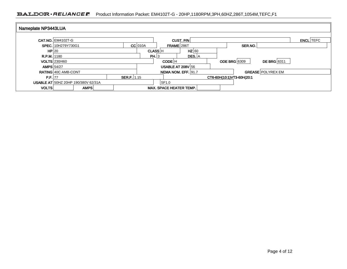#### BALDOR · RELIANCE F Product Information Packet: EM4102T-G - 20HP,1180RPM,3PH,60HZ,286T,1054M,TEFC,F1

| Nameplate NP3443LUA |                            |                                            |             |                |                                |           |                                    |                  |
|---------------------|----------------------------|--------------------------------------------|-------------|----------------|--------------------------------|-----------|------------------------------------|------------------|
|                     | <b>CAT.NO. EM4102T-G</b>   |                                            |             |                |                                | CUST. P/N |                                    | <b>ENCL</b> TEFC |
|                     | SPEC. 10H279Y730G1         |                                            |             | $CC$ 010A      | <b>FRAME</b> 286T              |           | SER.NO.                            |                  |
| HP 20               |                            |                                            |             | <b>CLASS H</b> |                                | $HZ$ 60   |                                    |                  |
| $R.P.M.$  1180      |                            |                                            |             | PH.3           |                                | DES. A    |                                    |                  |
|                     | <b>VOLTS</b> 230/460       |                                            |             |                | CODE <sup>IH</sup>             |           | <b>DE BRG</b> 6311<br>ODE BRG 6309 |                  |
| <b>AMPS 54/27</b>   |                            |                                            |             |                | <b>USABLE AT 208V 56</b>       |           |                                    |                  |
|                     | <b>RATING 40C AMB-CONT</b> |                                            |             |                | NEMA NOM. EFF. 91.7            |           | <b>GREASE POLYREX EM</b>           |                  |
| P.F. 77             |                            |                                            | SER.F. 1.15 |                |                                |           | CT6-60H(10:1)VT3-60H(20:1          |                  |
|                     |                            | <b>USABLE AT 50HZ 20HP 190/380V 62/31A</b> |             |                | SF1.0                          |           |                                    |                  |
| <b>VOLTS</b>        |                            | AMPS                                       |             |                | <b>MAX. SPACE HEATER TEMP.</b> |           |                                    |                  |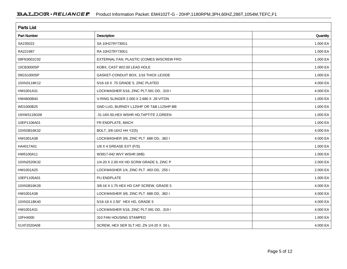| <b>Parts List</b>  |                                           |          |  |  |  |  |
|--------------------|-------------------------------------------|----------|--|--|--|--|
| <b>Part Number</b> | <b>Description</b>                        | Quantity |  |  |  |  |
| SA235023           | SA 10H279Y730G1                           | 1.000 EA |  |  |  |  |
| RA221987           | RA 10H279Y730G1                           | 1.000 EA |  |  |  |  |
| 09FN3001C02        | EXTERNAL FAN, PLASTIC (COMES W/SCREW FRO  | 1.000 EA |  |  |  |  |
| 10CB3000SP         | KOBX, CAST W/2.00 LEAD HOLE               | 1.000 EA |  |  |  |  |
| 09GS1000SP         | GASKET-CONDUIT BOX, 1/16 THICK LEXIDE     | 1.000 EA |  |  |  |  |
| 10XN3118K12        | 5/16-18 X .75 GRADE 5, ZINC PLATED        | 4.000 EA |  |  |  |  |
| HW1001A31          | LOCKWASHER 5/16, ZINC PLT.591 OD, .319 I  | 4.000 EA |  |  |  |  |
| HW4600B40          | V-RING SLINGER 2.000 X 2.680 X .28 VITON  | 1.000 EA |  |  |  |  |
| WD1000B25          | GND LUG, BURNDY L125HP OR T&B L125HP-BB   | 1.000 EA |  |  |  |  |
| 19XW3118G08        | .31-18X.50, HEX WSHR HD, TAPTITE 2, GREEN | 1.000 EA |  |  |  |  |
| 10EP1106A01        | FR ENDPLATE, MACH                         | 1.000 EA |  |  |  |  |
| 10XN3816K32        | BOLT, 3/8-16X2 HH YZ(5)                   | 4.000 EA |  |  |  |  |
| HW1001A38          | LOCKWASHER 3/8, ZINC PLT .688 OD, .382 I  | 4.000 EA |  |  |  |  |
| HA4017A01          | 1/8 X 4 GREASE EXT (F/S)                  | 1.000 EA |  |  |  |  |
| HW5100A11          | W3917-042 WVY WSHR (WB)                   | 1.000 EA |  |  |  |  |
| 10XN2520K32        | 1/4-20 X 2.00 HX HD SCRW GRADE 5, ZINC P  | 2.000 EA |  |  |  |  |
| HW1001A25          | LOCKWASHER 1/4, ZINC PLT .493 OD, .255 I  | 2.000 EA |  |  |  |  |
| 10EP1105A01        | PU ENDPLATE                               | 1.000 EA |  |  |  |  |
| 10XN3816K28        | 3/8-16 X 1.75 HEX HD CAP SCREW, GRADE 5   | 4.000 EA |  |  |  |  |
| HW1001A38          | LOCKWASHER 3/8, ZINC PLT .688 OD, .382 I  | 4.000 EA |  |  |  |  |
| 10XN3118K40        | 5/16-18 X 2.50" HEX HD, GRADE 5           | 4.000 EA |  |  |  |  |
| HW1001A31          | LOCKWASHER 5/16, ZINC PLT.591 OD, .319 I  | 4.000 EA |  |  |  |  |
| 10FH4000           | 310 FAN HOUSING STAMPED                   | 1.000 EA |  |  |  |  |
| 51XF2520A08        | SCREW, HEX SER SLT HD, ZN 1/4-20 X .50 L  | 4.000 EA |  |  |  |  |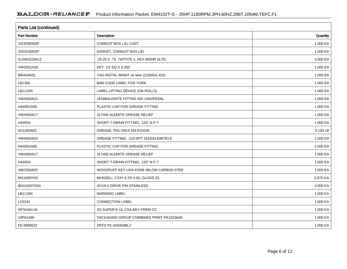| Parts List (continued) |                                          |          |  |  |  |  |
|------------------------|------------------------------------------|----------|--|--|--|--|
| Part Number            | Description                              | Quantity |  |  |  |  |
| 10CB3500SP             | CONDUIT BOX LID, CAST                    | 1.000 EA |  |  |  |  |
| 10GS1000SP             | GASKET, CONDUIT BOX LID                  | 1.000 EA |  |  |  |  |
| 51XW2520A12            | .25-20 X .75, TAPTITE II, HEX WSHR SLTD  | 4.000 EA |  |  |  |  |
| HW2501H28              | KEY, 1/2 SQ X 3.250                      | 1.000 EA |  |  |  |  |
| MN416A01               | TAG-INSTAL-MAINT no wire (2100/bx) 4/22  | 1.000 EA |  |  |  |  |
| LB1350                 | BAR CODE LABEL FOR YORK                  | 1.000 EA |  |  |  |  |
| LB1115N                | LABEL, LIFTING DEVICE (ON ROLLS)         | 1.000 EA |  |  |  |  |
| HW4500A21              | 1618BALEMITE FITTING 825 UNIVERSAL       | 1.000 EA |  |  |  |  |
| HA4051A00              | PLASTIC CAP FOR GREASE FITTING           | 1.000 EA |  |  |  |  |
| HW4500A17              | 317400 ALEMITE GREASE RELIEF             | 1.000 EA |  |  |  |  |
| HA4054                 | SHORT T-DRAIN FITTING, .125" N.P.T.      | 1.000 EA |  |  |  |  |
| MJ1000A02              | GREASE, POLYREX EM EXXON                 | 0.130 LB |  |  |  |  |
| HW4500A03              | GREASE FITTING, .125 NPT 1610(ALEMITE) 8 | 1.000 EA |  |  |  |  |
| HA4051A00              | PLASTIC CAP FOR GREASE FITTING           | 1.000 EA |  |  |  |  |
| HW4500A17              | 317400 ALEMITE GREASE RELIEF             | 1.000 EA |  |  |  |  |
| HA4054                 | SHORT T-DRAIN FITTING, .125" N.P.T.      | 1.000 EA |  |  |  |  |
| HW2500A25              | WOODRUFF KEY USA #1008 #BLOW CARBON STEE | 1.000 EA |  |  |  |  |
| MG1000Y03              | MUNSELL 2.53Y 6.70/ 4.60, GLOSS 20,      | 0.070 GA |  |  |  |  |
| 85XU0407S04            | 4X1/4 U DRIVE PIN STAINLESS              | 4.000 EA |  |  |  |  |
| LB1119N                | <b>WARNING LABEL</b>                     | 1.000 EA |  |  |  |  |
| LC0181                 | <b>CONNECTION LABEL</b>                  | 1.000 EA |  |  |  |  |
| NP3443LUA              | SS SUPER-E UL CSA-EEV PREM CC            | 1.000 EA |  |  |  |  |
| 10PA1000               | PACKAGING GROUP COMBINED PRINT PK1023A06 | 1.000 EA |  |  |  |  |
| FE-0000022             | ZRTG FE ASSEMBLY                         | 1.000 EA |  |  |  |  |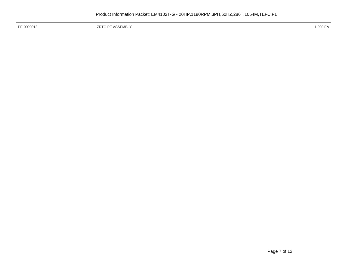| PE-0000013 | EMBL' | 1.000 EA |
|------------|-------|----------|
|            |       |          |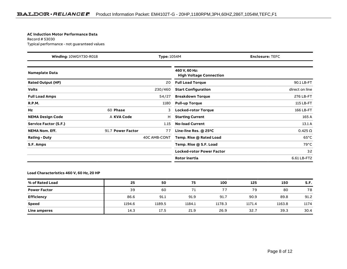#### **AC Induction Motor Performance Data**

Record # 53030Typical performance - not guaranteed values

| <b>Winding: 10WGY730-R018</b><br><b>Type: 1054M</b> |                   | <b>Enclosure: TEFC</b> |                                                 |                |
|-----------------------------------------------------|-------------------|------------------------|-------------------------------------------------|----------------|
| Nameplate Data                                      |                   |                        | 460 V, 60 Hz:<br><b>High Voltage Connection</b> |                |
| <b>Rated Output (HP)</b>                            |                   | 20                     | <b>Full Load Torque</b>                         | 90.1 LB-FT     |
| <b>Volts</b>                                        |                   | 230/460                | <b>Start Configuration</b>                      | direct on line |
| <b>Full Load Amps</b>                               |                   | 54/27                  | <b>Breakdown Torque</b>                         | 276 LB-FT      |
| <b>R.P.M.</b>                                       |                   | 1180                   | <b>Pull-up Torque</b>                           | 115 LB-FT      |
| Hz                                                  | 60 Phase          | 3                      | <b>Locked-rotor Torque</b>                      | 166 LB-FT      |
| <b>NEMA Design Code</b>                             | A KVA Code        | н                      | <b>Starting Current</b>                         | 165 A          |
| <b>Service Factor (S.F.)</b>                        |                   | 1.15                   | <b>No-load Current</b>                          | 13.1A          |
| <b>NEMA Nom. Eff.</b>                               | 91.7 Power Factor | 77                     | Line-line Res. @ 25°C                           | $0.425 \Omega$ |
| <b>Rating - Duty</b>                                |                   | 40C AMB-CONT           | Temp. Rise @ Rated Load                         | $65^{\circ}$ C |
| S.F. Amps                                           |                   |                        | Temp. Rise @ S.F. Load                          | $79^{\circ}$ C |
|                                                     |                   |                        | Locked-rotor Power Factor                       | 32             |
|                                                     |                   |                        | Rotor inertia                                   | 6.61 LB-FT2    |

#### **Load Characteristics 460 V, 60 Hz, 20 HP**

| % of Rated Load     | 25     | 50     | 75     | 100    | 125    | 150    | S.F. |
|---------------------|--------|--------|--------|--------|--------|--------|------|
| <b>Power Factor</b> | 39     | 60     | 71     | 77     | 79     | 80     | 78   |
| <b>Efficiency</b>   | 86.6   | 91.1   | 91.9   | 91.7   | 90.9   | 89.8   | 91.2 |
| <b>Speed</b>        | 1194.6 | 1189.5 | 1184.1 | 1178.3 | 1171.4 | 1163.8 | 1174 |
| Line amperes        | 14.3   | 17.5   | 21.9   | 26.9   | 32.7   | 39.3   | 30.4 |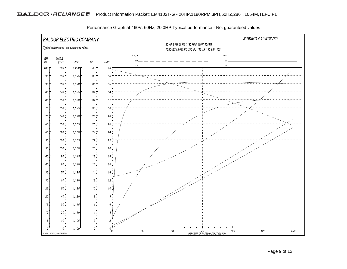

Performance Graph at 460V, 60Hz, 20.0HP Typical performance - Not guaranteed values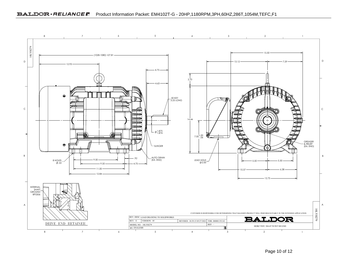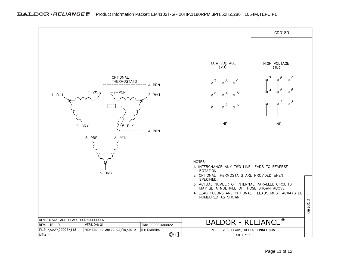